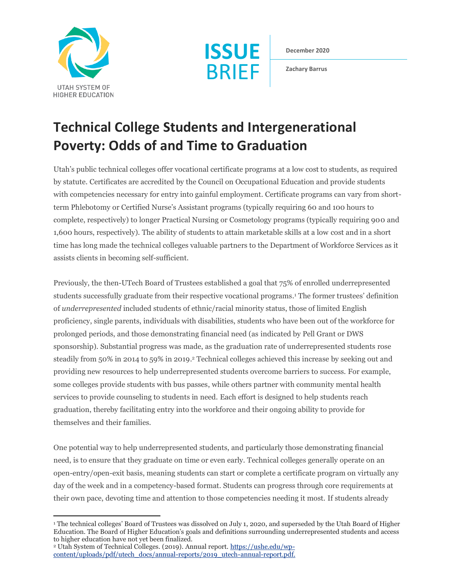



**December 2020**

**Zachary Barrus**

# **Technical College Students and Intergenerational Poverty: Odds of and Time to Graduation**

Utah's public technical colleges offer vocational certificate programs at a low cost to students, as required by statute. Certificates are accredited by the Council on Occupational Education and provide students with competencies necessary for entry into gainful employment. Certificate programs can vary from shortterm Phlebotomy or Certified Nurse's Assistant programs (typically requiring 60 and 100 hours to complete, respectively) to longer Practical Nursing or Cosmetology programs (typically requiring 900 and 1,600 hours, respectively). The ability of students to attain marketable skills at a low cost and in a short time has long made the technical colleges valuable partners to the Department of Workforce Services as it assists clients in becoming self-sufficient.

Previously, the then-UTech Board of Trustees established a goal that 75% of enrolled underrepresented students successfully graduate from their respective vocational programs. <sup>1</sup> The former trustees' definition of *underrepresented* included students of ethnic/racial minority status, those of limited English proficiency, single parents, individuals with disabilities, students who have been out of the workforce for prolonged periods, and those demonstrating financial need (as indicated by Pell Grant or DWS sponsorship). Substantial progress was made, as the graduation rate of underrepresented students rose steadily from 50% in 2014 to 59% in 2019. <sup>2</sup> Technical colleges achieved this increase by seeking out and providing new resources to help underrepresented students overcome barriers to success. For example, some colleges provide students with bus passes, while others partner with community mental health services to provide counseling to students in need. Each effort is designed to help students reach graduation, thereby facilitating entry into the workforce and their ongoing ability to provide for themselves and their families.

One potential way to help underrepresented students, and particularly those demonstrating financial need, is to ensure that they graduate on time or even early. Technical colleges generally operate on an open-entry/open-exit basis, meaning students can start or complete a certificate program on virtually any day of the week and in a competency-based format. Students can progress through core requirements at their own pace, devoting time and attention to those competencies needing it most. If students already

<sup>&</sup>lt;sup>1</sup> The technical colleges' Board of Trustees was dissolved on July 1, 2020, and superseded by the Utah Board of Higher Education. The Board of Higher Education's goals and definitions surrounding underrepresented students and access to higher education have not yet been finalized.

<sup>&</sup>lt;sup>2</sup> Utah System of Technical Colleges. (2019). Annual report. [https://ushe.edu/wp](https://ushe.edu/wp-content/uploads/pdf/utech_docs/annual-reports/2019_utech-annual-report.pdf)[content/uploads/pdf/utech\\_docs/annual-reports/2019\\_utech-annual-report.pdf.](https://ushe.edu/wp-content/uploads/pdf/utech_docs/annual-reports/2019_utech-annual-report.pdf)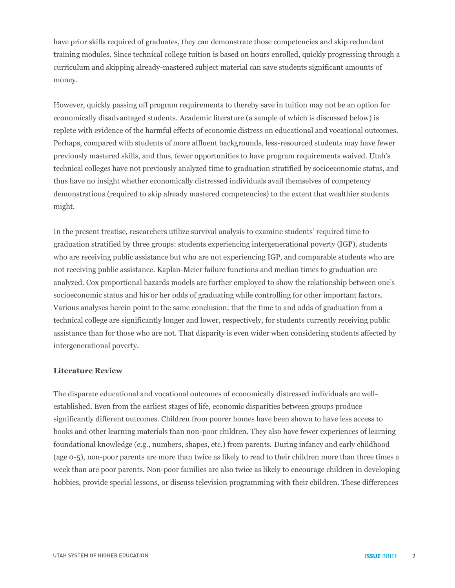have prior skills required of graduates, they can demonstrate those competencies and skip redundant training modules. Since technical college tuition is based on hours enrolled, quickly progressing through a curriculum and skipping already-mastered subject material can save students significant amounts of money.

However, quickly passing off program requirements to thereby save in tuition may not be an option for economically disadvantaged students. Academic literature (a sample of which is discussed below) is replete with evidence of the harmful effects of economic distress on educational and vocational outcomes. Perhaps, compared with students of more affluent backgrounds, less-resourced students may have fewer previously mastered skills, and thus, fewer opportunities to have program requirements waived. Utah's technical colleges have not previously analyzed time to graduation stratified by socioeconomic status, and thus have no insight whether economically distressed individuals avail themselves of competency demonstrations (required to skip already mastered competencies) to the extent that wealthier students might.

In the present treatise, researchers utilize survival analysis to examine students' required time to graduation stratified by three groups: students experiencing intergenerational poverty (IGP), students who are receiving public assistance but who are not experiencing IGP, and comparable students who are not receiving public assistance. Kaplan-Meier failure functions and median times to graduation are analyzed. Cox proportional hazards models are further employed to show the relationship between one's socioeconomic status and his or her odds of graduating while controlling for other important factors. Various analyses herein point to the same conclusion: that the time to and odds of graduation from a technical college are significantly longer and lower, respectively, for students currently receiving public assistance than for those who are not. That disparity is even wider when considering students affected by intergenerational poverty.

#### **Literature Review**

The disparate educational and vocational outcomes of economically distressed individuals are wellestablished. Even from the earliest stages of life, economic disparities between groups produce significantly different outcomes. Children from poorer homes have been shown to have less access to books and other learning materials than non-poor children. They also have fewer experiences of learning foundational knowledge (e.g., numbers, shapes, etc.) from parents. During infancy and early childhood (age 0-5), non-poor parents are more than twice as likely to read to their children more than three times a week than are poor parents. Non-poor families are also twice as likely to encourage children in developing hobbies, provide special lessons, or discuss television programming with their children. These differences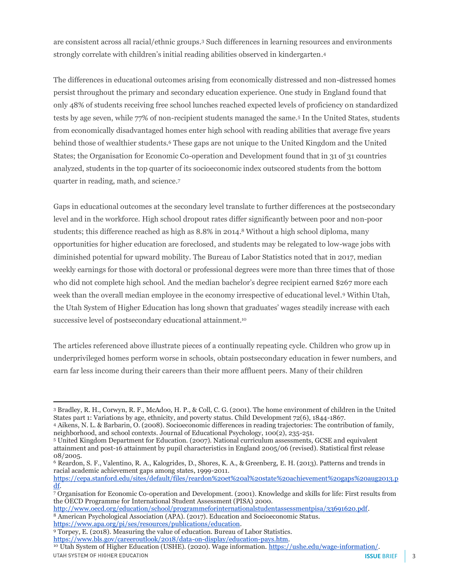are consistent across all racial/ethnic groups. <sup>3</sup> Such differences in learning resources and environments strongly correlate with children's initial reading abilities observed in kindergarten. 4

The differences in educational outcomes arising from economically distressed and non-distressed homes persist throughout the primary and secondary education experience. One study in England found that only 48% of students receiving free school lunches reached expected levels of proficiency on standardized tests by age seven, while 77% of non-recipient students managed the same. <sup>5</sup> In the United States, students from economically disadvantaged homes enter high school with reading abilities that average five years behind those of wealthier students. <sup>6</sup> These gaps are not unique to the United Kingdom and the United States; the Organisation for Economic Co-operation and Development found that in 31 of 31 countries analyzed, students in the top quarter of its socioeconomic index outscored students from the bottom quarter in reading, math, and science. 7

Gaps in educational outcomes at the secondary level translate to further differences at the postsecondary level and in the workforce. High school dropout rates differ significantly between poor and non-poor students; this difference reached as high as 8.8% in 2014. <sup>8</sup> Without a high school diploma, many opportunities for higher education are foreclosed, and students may be relegated to low-wage jobs with diminished potential for upward mobility. The Bureau of Labor Statistics noted that in 2017, median weekly earnings for those with doctoral or professional degrees were more than three times that of those who did not complete high school. And the median bachelor's degree recipient earned \$267 more each week than the overall median employee in the economy irrespective of educational level. <sup>9</sup> Within Utah, the Utah System of Higher Education has long shown that graduates' wages steadily increase with each successive level of postsecondary educational attainment.<sup>10</sup>

The articles referenced above illustrate pieces of a continually repeating cycle. Children who grow up in underprivileged homes perform worse in schools, obtain postsecondary education in fewer numbers, and earn far less income during their careers than their more affluent peers. Many of their children

[https://cepa.stanford.edu/sites/default/files/reardon%20et%20al%20state%20achievement%20gaps%20aug2013.p](https://cepa.stanford.edu/sites/default/files/reardon%20et%20al%20state%20achievement%20gaps%20aug2013.pdf) [df.](https://cepa.stanford.edu/sites/default/files/reardon%20et%20al%20state%20achievement%20gaps%20aug2013.pdf)

<sup>7</sup> Organisation for Economic Co-operation and Development. (2001). Knowledge and skills for life: First results from the OECD Programme for International Student Assessment (PISA) 2000.

[http://www.oecd.org/education/school/programmeforinternationalstudentassessmentpisa/33691620.pdf.](http://www.oecd.org/education/school/programmeforinternationalstudentassessmentpisa/33691620.pdf) <sup>8</sup> American Psychological Association (APA). (2017). Education and Socioeconomic Status. [https://www.apa.org/pi/ses/resources/publications/education.](https://www.apa.org/pi/ses/resources/publications/education)

<sup>3</sup> Bradley, R. H., Corwyn, R. F., McAdoo, H. P., & Coll, C. G. (2001). The home environment of children in the United States part 1: Variations by age, ethnicity, and poverty status. Child Development 72(6), 1844-1867.

<sup>4</sup> Aikens, N. L. & Barbarin, O. (2008). Socioeconomic differences in reading trajectories: The contribution of family, neighborhood, and school contexts. Journal of Educational Psychology, 100(2), 235-251.

<sup>5</sup> United Kingdom Department for Education. (2007). National curriculum assessments, GCSE and equivalent attainment and post-16 attainment by pupil characteristics in England 2005/06 (revised). Statistical first release 08/2005.

<sup>6</sup> Reardon, S. F., Valentino, R. A., Kalogrides, D., Shores, K. A., & Greenberg, E. H. (2013). Patterns and trends in racial academic achievement gaps among states, 1999-2011.

<sup>9</sup> Torpey, E. (2018). Measuring the value of education. Bureau of Labor Statistics.

[https://www.bls.gov/careeroutlook/2018/data-on-display/education-pays.htm.](https://www.bls.gov/careeroutlook/2018/data-on-display/education-pays.htm)

<sup>10</sup> Utah System of Higher Education (USHE). (2020). Wage information. [https://ushe.edu/wage-information/.](https://ushe.edu/wage-information/)UTAH SYSTEM OF HIGHER EDUCATION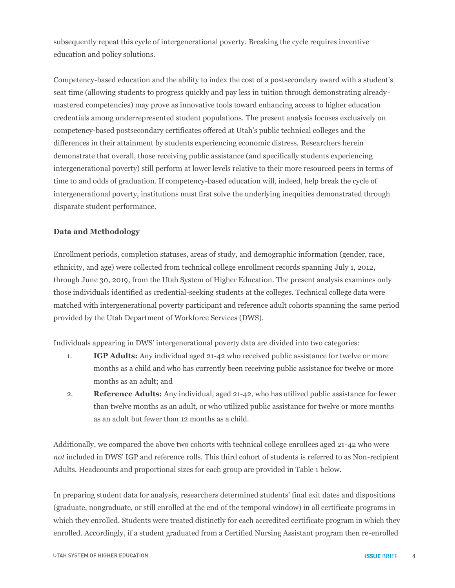subsequently repeat this cycle of intergenerational poverty. Breaking the cycle requires inventive education and policy solutions.

Competency-based education and the ability to index the cost of a postsecondary award with a student's seat time (allowing students to progress quickly and pay less in tuition through demonstrating alreadymastered competencies) may prove as innovative tools toward enhancing access to higher education credentials among underrepresented student populations. The present analysis focuses exclusively on competency-based postsecondary certificates offered at Utah's public technical colleges and the differences in their attainment by students experiencing economic distress. Researchers herein demonstrate that overall, those receiving public assistance (and specifically students experiencing intergenerational poverty) still perform at lower levels relative to their more resourced peers in terms of time to and odds of graduation. If competency-based education will, indeed, help break the cycle of intergenerational poverty, institutions must first solve the underlying inequities demonstrated through disparate student performance.

# **Data and Methodology**

Enrollment periods, completion statuses, areas of study, and demographic information (gender, race, ethnicity, and age) were collected from technical college enrollment records spanning July 1, 2012, through June 30, 2019, from the Utah System of Higher Education. The present analysis examines only those individuals identified as credential-seeking students at the colleges. Technical college data were matched with intergenerational poverty participant and reference adult cohorts spanning the same period provided by the Utah Department of Workforce Services (DWS).

Individuals appearing in DWS' intergenerational poverty data are divided into two categories:

- 1. **IGP Adults:** Any individual aged 21-42 who received public assistance for twelve or more months as a child and who has currently been receiving public assistance for twelve or more months as an adult; and
- 2. **Reference Adults:** Any individual, aged 21-42, who has utilized public assistance for fewer than twelve months as an adult, or who utilized public assistance for twelve or more months as an adult but fewer than 12 months as a child.

Additionally, we compared the above two cohorts with technical college enrollees aged 21-42 who were *not* included in DWS' IGP and reference rolls. This third cohort of students is referred to as Non-recipient Adults. Headcounts and proportional sizes for each group are provided in Table 1 below.

In preparing student data for analysis, researchers determined students' final exit dates and dispositions (graduate, nongraduate, or still enrolled at the end of the temporal window) in all certificate programs in which they enrolled. Students were treated distinctly for each accredited certificate program in which they enrolled. Accordingly, if a student graduated from a Certified Nursing Assistant program then re-enrolled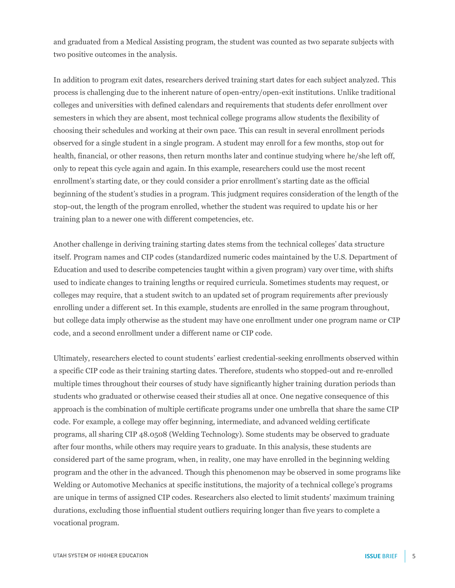and graduated from a Medical Assisting program, the student was counted as two separate subjects with two positive outcomes in the analysis.

In addition to program exit dates, researchers derived training start dates for each subject analyzed. This process is challenging due to the inherent nature of open-entry/open-exit institutions. Unlike traditional colleges and universities with defined calendars and requirements that students defer enrollment over semesters in which they are absent, most technical college programs allow students the flexibility of choosing their schedules and working at their own pace. This can result in several enrollment periods observed for a single student in a single program. A student may enroll for a few months, stop out for health, financial, or other reasons, then return months later and continue studying where he/she left off, only to repeat this cycle again and again. In this example, researchers could use the most recent enrollment's starting date, or they could consider a prior enrollment's starting date as the official beginning of the student's studies in a program. This judgment requires consideration of the length of the stop-out, the length of the program enrolled, whether the student was required to update his or her training plan to a newer one with different competencies, etc.

Another challenge in deriving training starting dates stems from the technical colleges' data structure itself. Program names and CIP codes (standardized numeric codes maintained by the U.S. Department of Education and used to describe competencies taught within a given program) vary over time, with shifts used to indicate changes to training lengths or required curricula. Sometimes students may request, or colleges may require, that a student switch to an updated set of program requirements after previously enrolling under a different set. In this example, students are enrolled in the same program throughout, but college data imply otherwise as the student may have one enrollment under one program name or CIP code, and a second enrollment under a different name or CIP code.

Ultimately, researchers elected to count students' earliest credential-seeking enrollments observed within a specific CIP code as their training starting dates. Therefore, students who stopped-out and re-enrolled multiple times throughout their courses of study have significantly higher training duration periods than students who graduated or otherwise ceased their studies all at once. One negative consequence of this approach is the combination of multiple certificate programs under one umbrella that share the same CIP code. For example, a college may offer beginning, intermediate, and advanced welding certificate programs, all sharing CIP 48.0508 (Welding Technology). Some students may be observed to graduate after four months, while others may require years to graduate. In this analysis, these students are considered part of the same program, when, in reality, one may have enrolled in the beginning welding program and the other in the advanced. Though this phenomenon may be observed in some programs like Welding or Automotive Mechanics at specific institutions, the majority of a technical college's programs are unique in terms of assigned CIP codes. Researchers also elected to limit students' maximum training durations, excluding those influential student outliers requiring longer than five years to complete a vocational program.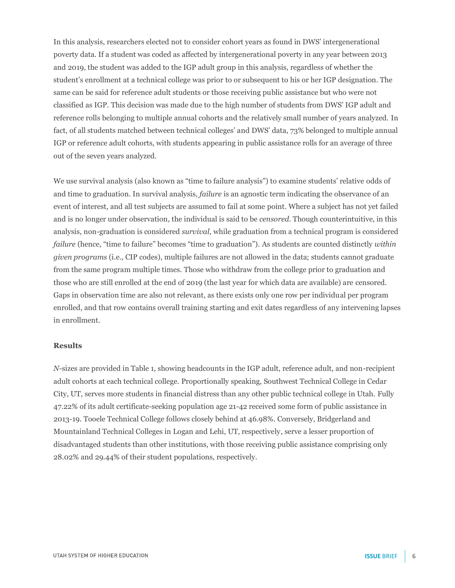In this analysis, researchers elected not to consider cohort years as found in DWS' intergenerational poverty data. If a student was coded as affected by intergenerational poverty in any year between 2013 and 2019, the student was added to the IGP adult group in this analysis, regardless of whether the student's enrollment at a technical college was prior to or subsequent to his or her IGP designation. The same can be said for reference adult students or those receiving public assistance but who were not classified as IGP. This decision was made due to the high number of students from DWS' IGP adult and reference rolls belonging to multiple annual cohorts and the relatively small number of years analyzed. In fact, of all students matched between technical colleges' and DWS' data, 73% belonged to multiple annual IGP or reference adult cohorts, with students appearing in public assistance rolls for an average of three out of the seven years analyzed.

We use survival analysis (also known as "time to failure analysis") to examine students' relative odds of and time to graduation. In survival analysis, *failure* is an agnostic term indicating the observance of an event of interest, and all test subjects are assumed to fail at some point. Where a subject has not yet failed and is no longer under observation, the individual is said to be *censored*. Though counterintuitive, in this analysis, non-graduation is considered *survival*, while graduation from a technical program is considered *failure* (hence, "time to failure" becomes "time to graduation"). As students are counted distinctly *within given programs* (i.e., CIP codes), multiple failures are not allowed in the data; students cannot graduate from the same program multiple times. Those who withdraw from the college prior to graduation and those who are still enrolled at the end of 2019 (the last year for which data are available) are censored. Gaps in observation time are also not relevant, as there exists only one row per individual per program enrolled, and that row contains overall training starting and exit dates regardless of any intervening lapses in enrollment.

## **Results**

*N*-sizes are provided in Table 1, showing headcounts in the IGP adult, reference adult, and non-recipient adult cohorts at each technical college. Proportionally speaking, Southwest Technical College in Cedar City, UT, serves more students in financial distress than any other public technical college in Utah. Fully 47.22% of its adult certificate-seeking population age 21-42 received some form of public assistance in 2013-19. Tooele Technical College follows closely behind at 46.98%. Conversely, Bridgerland and Mountainland Technical Colleges in Logan and Lehi, UT, respectively, serve a lesser proportion of disadvantaged students than other institutions, with those receiving public assistance comprising only 28.02% and 29.44% of their student populations, respectively.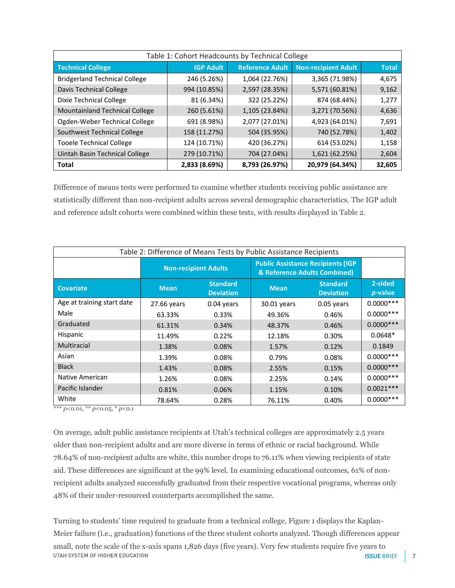| Table 1: Cohort Headcounts by Technical College |                  |                        |                            |              |  |  |  |
|-------------------------------------------------|------------------|------------------------|----------------------------|--------------|--|--|--|
| <b>Technical College</b>                        | <b>IGP Adult</b> | <b>Reference Adult</b> | <b>Non-recipient Adult</b> | <b>Total</b> |  |  |  |
| <b>Bridgerland Technical College</b>            | 246 (5.26%)      | 1,064 (22.76%)         | 3,365 (71.98%)             | 4,675        |  |  |  |
| Davis Technical College                         | 994 (10.85%)     | 2,597 (28.35%)         | 5,571 (60.81%)             | 9,162        |  |  |  |
| Dixie Technical College                         | 81 (6.34%)       | 322 (25.22%)           | 874 (68.44%)               | 1,277        |  |  |  |
| Mountainland Technical College                  | 260 (5.61%)      | 1,105 (23.84%)         | 3,271 (70.56%)             | 4,636        |  |  |  |
| Ogden-Weber Technical College                   | 691 (8.98%)      | 2,077 (27.01%)         | 4,923 (64.01%)             | 7,691        |  |  |  |
| Southwest Technical College                     | 158 (11.27%)     | 504 (35.95%)           | 740 (52.78%)               | 1,402        |  |  |  |
| <b>Tooele Technical College</b>                 | 124 (10.71%)     | 420 (36.27%)           | 614 (53.02%)               | 1,158        |  |  |  |
| Uintah Basin Technical College                  | 279 (10.71%)     | 704 (27.04%)           | 1,621 (62.25%)             | 2,604        |  |  |  |
| <b>Total</b>                                    | 2,833 (8.69%)    | 8,793 (26.97%)         | 20,979 (64.34%)            | 32,605       |  |  |  |

Difference of means tests were performed to examine whether students receiving public assistance are statistically different than non-recipient adults across several demographic characteristics. The IGP adult and reference adult cohorts were combined within these tests, with results displayed in Table 2.

| Table 2: Difference of Means Tests by Public Assistance Recipients |                             |                                     |                                                                           |                                     |                            |  |  |
|--------------------------------------------------------------------|-----------------------------|-------------------------------------|---------------------------------------------------------------------------|-------------------------------------|----------------------------|--|--|
|                                                                    | <b>Non-recipient Adults</b> |                                     | <b>Public Assistance Recipients (IGP)</b><br>& Reference Adults Combined) |                                     |                            |  |  |
| <b>Covariate</b>                                                   | <b>Mean</b>                 | <b>Standard</b><br><b>Deviation</b> | <b>Mean</b>                                                               | <b>Standard</b><br><b>Deviation</b> | 2-sided<br><i>p</i> -value |  |  |
| Age at training start date                                         | 27.66 years                 | 0.04 years                          | 30.01 years                                                               | 0.05 years                          | $0.0000***$                |  |  |
| Male                                                               | 63.33%                      | 0.33%                               | 49.36%                                                                    | 0.46%                               | $0.0000***$                |  |  |
| Graduated                                                          | 61.31%                      | 0.34%                               | 48.37%                                                                    | 0.46%                               | $0.0000***$                |  |  |
| <b>Hispanic</b>                                                    | 11.49%                      | 0.22%                               | 12.18%                                                                    | 0.30%                               | $0.0648*$                  |  |  |
| <b>Multiracial</b>                                                 | 1.38%                       | 0.08%                               | 1.57%                                                                     | 0.12%                               | 0.1849                     |  |  |
| Asian                                                              | 1.39%                       | 0.08%                               | 0.79%                                                                     | 0.08%                               | $0.0000$ ***               |  |  |
| <b>Black</b>                                                       | 1.43%                       | 0.08%                               | 2.55%                                                                     | 0.15%                               | $0.0000***$                |  |  |
| Native American                                                    | 1.26%                       | 0.08%                               | 2.25%                                                                     | 0.14%                               | $0.0000***$                |  |  |
| Pacific Islander                                                   | 0.81%                       | 0.06%                               | 1.15%                                                                     | 0.10%                               | $0.0021***$                |  |  |
| White                                                              | 78.64%                      | 0.28%                               | 76.11%                                                                    | 0.40%                               | $0.0000***$                |  |  |

\*\*\* *p*<0.01, \*\* *p*<0.05, \* *p*<0.1

On average, adult public assistance recipients at Utah's technical colleges are approximately 2.5 years older than non-recipient adults and are more diverse in terms of ethnic or racial background. While 78.64% of non-recipient adults are white, this number drops to 76.11% when viewing recipients of state aid. These differences are significant at the 99% level. In examining educational outcomes, 61% of nonrecipient adults analyzed successfully graduated from their respective vocational programs, whereas only 48% of their under-resourced counterparts accomplished the same.

Turning to students' time required to graduate from a technical college, Figure 1 displays the Kaplan-Meier failure (i.e., graduation) functions of the three student cohorts analyzed. Though differences appear small, note the scale of the x-axis spans 1,826 days (five years). Very few students require five years to UTAH SYSTEM OF HIGHER EDUCATION **ISSUE** BRIEF 7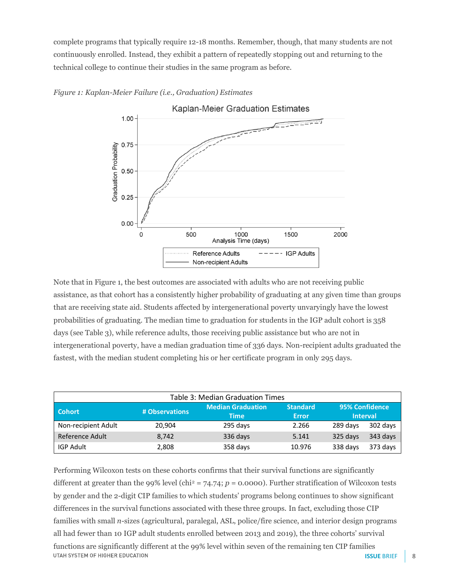complete programs that typically require 12-18 months. Remember, though, that many students are not continuously enrolled. Instead, they exhibit a pattern of repeatedly stopping out and returning to the technical college to continue their studies in the same program as before.



#### *Figure 1: Kaplan-Meier Failure (i.e., Graduation) Estimates*

Note that in Figure 1, the best outcomes are associated with adults who are not receiving public assistance, as that cohort has a consistently higher probability of graduating at any given time than groups that are receiving state aid. Students affected by intergenerational poverty unvaryingly have the lowest probabilities of graduating. The median time to graduation for students in the IGP adult cohort is 358 days (see Table 3), while reference adults, those receiving public assistance but who are not in intergenerational poverty, have a median graduation time of 336 days. Non-recipient adults graduated the fastest, with the median student completing his or her certificate program in only 295 days.

| Table 3: Median Graduation Times |                                 |                                   |        |          |          |  |  |
|----------------------------------|---------------------------------|-----------------------------------|--------|----------|----------|--|--|
| <b>Cohort</b>                    | <b>Standard</b><br><b>Error</b> | 95% Confidence<br><b>Interval</b> |        |          |          |  |  |
| Non-recipient Adult              | 20,904                          | 295 days                          | 2.266  | 289 days | 302 days |  |  |
| Reference Adult                  | 8,742                           | 336 days                          | 5.141  | 325 days | 343 days |  |  |
| <b>IGP Adult</b>                 | 2,808                           | 358 days                          | 10.976 | 338 days | 373 days |  |  |

Performing Wilcoxon tests on these cohorts confirms that their survival functions are significantly different at greater than the 99% level (chi<sup>2</sup> = 74.74; *p* = 0.0000). Further stratification of Wilcoxon tests by gender and the 2-digit CIP families to which students' programs belong continues to show significant differences in the survival functions associated with these three groups. In fact, excluding those CIP families with small *n*-sizes (agricultural, paralegal, ASL, police/fire science, and interior design programs all had fewer than 10 IGP adult students enrolled between 2013 and 2019), the three cohorts' survival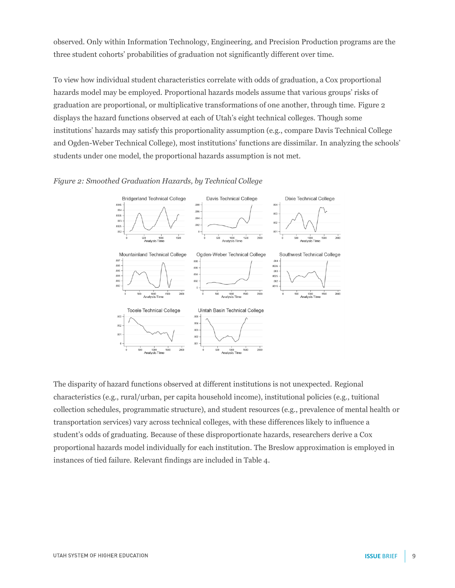observed. Only within Information Technology, Engineering, and Precision Production programs are the three student cohorts' probabilities of graduation not significantly different over time.

To view how individual student characteristics correlate with odds of graduation, a Cox proportional hazards model may be employed. Proportional hazards models assume that various groups' risks of graduation are proportional, or multiplicative transformations of one another, through time. Figure 2 displays the hazard functions observed at each of Utah's eight technical colleges. Though some institutions' hazards may satisfy this proportionality assumption (e.g., compare Davis Technical College and Ogden-Weber Technical College), most institutions' functions are dissimilar. In analyzing the schools' students under one model, the proportional hazards assumption is not met.

## *Figure 2: Smoothed Graduation Hazards, by Technical College*



The disparity of hazard functions observed at different institutions is not unexpected. Regional characteristics (e.g., rural/urban, per capita household income), institutional policies (e.g., tuitional collection schedules, programmatic structure), and student resources (e.g., prevalence of mental health or transportation services) vary across technical colleges, with these differences likely to influence a student's odds of graduating. Because of these disproportionate hazards, researchers derive a Cox proportional hazards model individually for each institution. The Breslow approximation is employed in instances of tied failure. Relevant findings are included in Table 4.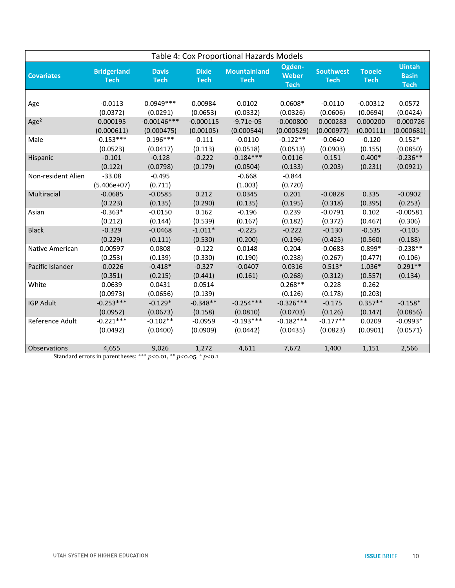| Table 4: Cox Proportional Hazards Models |                                   |                             |                             |                                    |                                       |                                 |                              |                                              |
|------------------------------------------|-----------------------------------|-----------------------------|-----------------------------|------------------------------------|---------------------------------------|---------------------------------|------------------------------|----------------------------------------------|
| <b>Covariates</b>                        | <b>Bridgerland</b><br><b>Tech</b> | <b>Davis</b><br><b>Tech</b> | <b>Dixie</b><br><b>Tech</b> | <b>Mountainland</b><br><b>Tech</b> | Ogden-<br><b>Weber</b><br><b>Tech</b> | <b>Southwest</b><br><b>Tech</b> | <b>Tooele</b><br><b>Tech</b> | <b>Uintah</b><br><b>Basin</b><br><b>Tech</b> |
|                                          |                                   |                             |                             |                                    |                                       |                                 |                              |                                              |
| Age                                      | $-0.0113$                         | $0.0949***$                 | 0.00984                     | 0.0102                             | $0.0608*$                             | $-0.0110$                       | $-0.00312$                   | 0.0572                                       |
|                                          | (0.0372)                          | (0.0291)                    | (0.0653)                    | (0.0332)                           | (0.0326)                              | (0.0606)                        | (0.0694)                     | (0.0424)                                     |
| Age <sup>2</sup>                         | 0.000195                          | $-0.00146***$               | $-0.000115$                 | $-9.71e-05$                        | $-0.000800$                           | 0.000283                        | 0.000200                     | $-0.000726$                                  |
|                                          | (0.000611)                        | (0.000475)                  | (0.00105)                   | (0.000544)                         | (0.000529)                            | (0.000977)                      | (0.00111)                    | (0.000681)                                   |
| Male                                     | $-0.153***$                       | $0.196***$                  | $-0.111$                    | $-0.0110$                          | $-0.122**$                            | $-0.0640$                       | $-0.120$                     | $0.152*$                                     |
|                                          | (0.0523)                          | (0.0417)                    | (0.113)                     | (0.0518)                           | (0.0513)                              | (0.0903)                        | (0.155)                      | (0.0850)                                     |
| Hispanic                                 | $-0.101$                          | $-0.128$                    | $-0.222$                    | $-0.184***$                        | 0.0116                                | 0.151                           | $0.400*$                     | $-0.236**$                                   |
|                                          | (0.122)                           | (0.0798)                    | (0.179)                     | (0.0504)                           | (0.133)                               | (0.203)                         | (0.231)                      | (0.0921)                                     |
| Non-resident Alien                       | $-33.08$                          | $-0.495$                    |                             | $-0.668$                           | $-0.844$                              |                                 |                              |                                              |
|                                          | $(5.406e+07)$                     | (0.711)                     |                             | (1.003)                            | (0.720)                               |                                 |                              |                                              |
| Multiracial                              | $-0.0685$                         | $-0.0585$                   | 0.212                       | 0.0345                             | 0.201                                 | $-0.0828$                       | 0.335                        | $-0.0902$                                    |
|                                          | (0.223)                           | (0.135)                     | (0.290)                     | (0.135)                            | (0.195)                               | (0.318)                         | (0.395)                      | (0.253)                                      |
| Asian                                    | $-0.363*$                         | $-0.0150$                   | 0.162                       | $-0.196$                           | 0.239                                 | $-0.0791$                       | 0.102                        | $-0.00581$                                   |
|                                          | (0.212)                           | (0.144)                     | (0.539)                     | (0.167)                            | (0.182)                               | (0.372)                         | (0.467)                      | (0.306)                                      |
| <b>Black</b>                             | $-0.329$                          | $-0.0468$                   | $-1.011*$                   | $-0.225$                           | $-0.222$                              | $-0.130$                        | $-0.535$                     | $-0.105$                                     |
|                                          | (0.229)                           | (0.111)                     | (0.530)                     | (0.200)                            | (0.196)                               | (0.425)                         | (0.560)                      | (0.188)                                      |
| Native American                          | 0.00597                           | 0.0808                      | $-0.122$                    | 0.0148                             | 0.204                                 | $-0.0683$                       | $0.899*$                     | $-0.238**$                                   |
|                                          | (0.253)                           | (0.139)                     | (0.330)                     | (0.190)                            | (0.238)                               | (0.267)                         | (0.477)                      | (0.106)                                      |
| Pacific Islander                         | $-0.0226$                         | $-0.418*$                   | $-0.327$                    | $-0.0407$                          | 0.0316                                | $0.513*$                        | $1.036*$                     | $0.291**$                                    |
|                                          | (0.351)                           | (0.215)                     | (0.441)                     | (0.161)                            | (0.268)                               | (0.312)                         | (0.557)                      | (0.134)                                      |
| White                                    | 0.0639                            | 0.0431                      | 0.0514                      |                                    | $0.268**$                             | 0.228                           | 0.262                        |                                              |
|                                          | (0.0973)                          | (0.0656)                    | (0.139)                     |                                    | (0.126)                               | (0.178)                         | (0.203)                      |                                              |
| <b>IGP Adult</b>                         | $-0.253***$                       | $-0.129*$                   | $-0.348**$                  | $-0.254***$                        | $-0.326***$                           | $-0.175$                        | $0.357**$                    | $-0.158*$                                    |
|                                          | (0.0952)                          | (0.0673)                    | (0.158)                     | (0.0810)                           | (0.0703)                              | (0.126)                         | (0.147)                      | (0.0856)                                     |
| Reference Adult                          | $-0.221***$                       | $-0.102**$                  | $-0.0959$                   | $-0.193***$                        | $-0.182***$                           | $-0.177**$                      | 0.0209                       | $-0.0993*$                                   |
|                                          | (0.0492)                          | (0.0400)                    | (0.0909)                    | (0.0442)                           | (0.0435)                              | (0.0823)                        | (0.0901)                     | (0.0571)                                     |
| Observations                             | 4,655                             | 9,026                       | 1,272                       | 4,611                              | 7,672                                 | 1,400                           | 1,151                        | 2,566                                        |

Standard errors in parentheses; \*\*\* *p*<0.01, \*\* *p*<0.05, \* *p*<0.1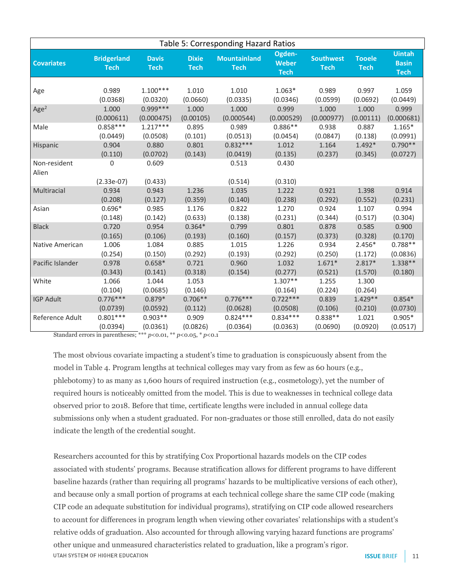| Table 5: Corresponding Hazard Ratios |                                   |                             |                             |                             |                                |                                 |                              |                                              |
|--------------------------------------|-----------------------------------|-----------------------------|-----------------------------|-----------------------------|--------------------------------|---------------------------------|------------------------------|----------------------------------------------|
| <b>Covariates</b>                    | <b>Bridgerland</b><br><b>Tech</b> | <b>Davis</b><br><b>Tech</b> | <b>Dixie</b><br><b>Tech</b> | Mountainland<br><b>Tech</b> | Ogden-<br>Weber<br><b>Tech</b> | <b>Southwest</b><br><b>Tech</b> | <b>Tooele</b><br><b>Tech</b> | <b>Uintah</b><br><b>Basin</b><br><b>Tech</b> |
| Age                                  | 0.989                             | $1.100***$                  | 1.010                       | 1.010                       | $1.063*$                       | 0.989                           | 0.997                        | 1.059                                        |
| Age <sup>2</sup>                     | (0.0368)                          | (0.0320)                    | (0.0660)                    | (0.0335)                    | (0.0346)                       | (0.0599)                        | (0.0692)                     | (0.0449)                                     |
|                                      | 1.000                             | $0.999***$                  | 1.000                       | 1.000                       | 0.999                          | 1.000                           | 1.000                        | 0.999                                        |
|                                      | (0.000611)                        | (0.000475)                  | (0.00105)                   | (0.000544)                  | (0.000529)                     | (0.000977)                      | (0.00111)                    | (0.000681)                                   |
| Male                                 | $0.858***$                        | $1.217***$                  | 0.895                       | 0.989                       | $0.886**$                      | 0.938                           | 0.887                        | $1.165*$                                     |
|                                      | (0.0449)                          | (0.0508)                    | (0.101)                     | (0.0513)                    | (0.0454)                       | (0.0847)                        | (0.138)                      | (0.0991)                                     |
| Hispanic                             | 0.904                             | 0.880                       | 0.801                       | $0.832***$                  | 1.012                          | 1.164                           | $1.492*$                     | $0.790**$                                    |
|                                      | (0.110)                           | (0.0702)                    | (0.143)                     | (0.0419)                    | (0.135)                        | (0.237)                         | (0.345)                      | (0.0727)                                     |
| Non-resident<br>Alien                | 0                                 | 0.609                       |                             | 0.513                       | 0.430                          |                                 |                              |                                              |
| Multiracial                          | $(2.33e-07)$<br>0.934<br>(0.208)  | (0.433)<br>0.943<br>(0.127) | 1.236<br>(0.359)            | (0.514)<br>1.035<br>(0.140) | (0.310)<br>1.222<br>(0.238)    | 0.921<br>(0.292)                | 1.398<br>(0.552)             | 0.914<br>(0.231)                             |
| Asian                                | $0.696*$                          | 0.985                       | 1.176                       | 0.822                       | 1.270                          | 0.924                           | 1.107                        | 0.994                                        |
|                                      | (0.148)                           | (0.142)                     | (0.633)                     | (0.138)                     | (0.231)                        | (0.344)                         | (0.517)                      | (0.304)                                      |
| <b>Black</b>                         | 0.720                             | 0.954                       | $0.364*$                    | 0.799                       | 0.801                          | 0.878                           | 0.585                        | 0.900                                        |
|                                      | (0.165)                           | (0.106)                     | (0.193)                     | (0.160)                     | (0.157)                        | (0.373)                         | (0.328)                      | (0.170)                                      |
| Native American                      | 1.006                             | 1.084                       | 0.885                       | 1.015                       | 1.226                          | 0.934                           | $2.456*$                     | $0.788**$                                    |
|                                      | (0.254)                           | (0.150)                     | (0.292)                     | (0.193)                     | (0.292)                        | (0.250)                         | (1.172)                      | (0.0836)                                     |
| Pacific Islander                     | 0.978                             | $0.658*$                    | 0.721                       | 0.960                       | 1.032                          | $1.671*$                        | $2.817*$                     | $1.338**$                                    |
|                                      | (0.343)                           | (0.141)                     | (0.318)                     | (0.154)                     | (0.277)                        | (0.521)                         | (1.570)                      | (0.180)                                      |
| White                                | 1.066<br>(0.104)                  | 1.044<br>(0.0685)           | 1.053<br>(0.146)            |                             | $1.307**$<br>(0.164)           | 1.255<br>(0.224)                | 1.300<br>(0.264)             |                                              |
| <b>IGP Adult</b>                     | $0.776***$                        | $0.879*$                    | $0.706**$                   | $0.776***$                  | $0.722***$                     | 0.839                           | $1.429**$                    | $0.854*$                                     |
|                                      | (0.0739)                          | (0.0592)                    | (0.112)                     | (0.0628)                    | (0.0508)                       | (0.106)                         | (0.210)                      | (0.0730)                                     |
| Reference Adult                      | $0.801***$                        | $0.903**$                   | 0.909                       | $0.824***$                  | $0.834***$                     | $0.838**$                       | 1.021                        | $0.905*$                                     |
|                                      | (0.0394)                          | (0.0361)                    | (0.0826)                    | (0.0364)                    | (0.0363)                       | (0.0690)                        | (0.0920)                     | (0.0517)                                     |

Standard errors in parentheses; \*\*\* *p*<0.01, \*\* *p*<0.05, \* *p*<0.1

The most obvious covariate impacting a student's time to graduation is conspicuously absent from the model in Table 4. Program lengths at technical colleges may vary from as few as 60 hours (e.g., phlebotomy) to as many as 1,600 hours of required instruction (e.g., cosmetology), yet the number of required hours is noticeably omitted from the model. This is due to weaknesses in technical college data observed prior to 2018. Before that time, certificate lengths were included in annual college data submissions only when a student graduated. For non-graduates or those still enrolled, data do not easily indicate the length of the credential sought.

Researchers accounted for this by stratifying Cox Proportional hazards models on the CIP codes associated with students' programs. Because stratification allows for different programs to have different baseline hazards (rather than requiring all programs' hazards to be multiplicative versions of each other), and because only a small portion of programs at each technical college share the same CIP code (making CIP code an adequate substitution for individual programs), stratifying on CIP code allowed researchers to account for differences in program length when viewing other covariates' relationships with a student's relative odds of graduation. Also accounted for through allowing varying hazard functions are programs' other unique and unmeasured characteristics related to graduation, like a program's rigor.UTAH SYSTEM OF HIGHER EDUCATION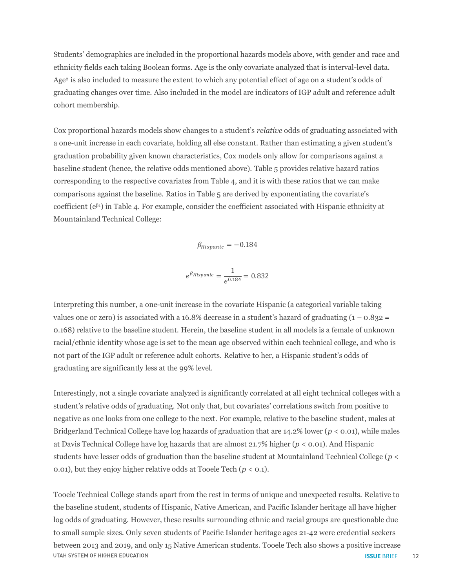Students' demographics are included in the proportional hazards models above, with gender and race and ethnicity fields each taking Boolean forms. Age is the only covariate analyzed that is interval-level data. Age<sup>2</sup> is also included to measure the extent to which any potential effect of age on a student's odds of graduating changes over time. Also included in the model are indicators of IGP adult and reference adult cohort membership.

Cox proportional hazards models show changes to a student's *relative* odds of graduating associated with a one-unit increase in each covariate, holding all else constant. Rather than estimating a given student's graduation probability given known characteristics, Cox models only allow for comparisons against a baseline student (hence, the relative odds mentioned above). Table 5 provides relative hazard ratios corresponding to the respective covariates from Table 4, and it is with these ratios that we can make comparisons against the baseline. Ratios in Table 5 are derived by exponentiating the covariate's coefficient  $(e^{\beta 1})$  in Table 4. For example, consider the coefficient associated with Hispanic ethnicity at Mountainland Technical College:

$$
\beta_{Hispanic} = -0.184
$$

$$
e^{\beta_{Hispanic}} = \frac{1}{e^{0.184}} = 0.832
$$

Interpreting this number, a one-unit increase in the covariate Hispanic (a categorical variable taking values one or zero) is associated with a 16.8% decrease in a student's hazard of graduating  $(1 - 0.832 =$ 0.168) relative to the baseline student. Herein, the baseline student in all models is a female of unknown racial/ethnic identity whose age is set to the mean age observed within each technical college, and who is not part of the IGP adult or reference adult cohorts. Relative to her, a Hispanic student's odds of graduating are significantly less at the 99% level.

Interestingly, not a single covariate analyzed is significantly correlated at all eight technical colleges with a student's relative odds of graduating. Not only that, but covariates' correlations switch from positive to negative as one looks from one college to the next. For example, relative to the baseline student, males at Bridgerland Technical College have log hazards of graduation that are 14.2% lower (*p* < 0.01), while males at Davis Technical College have log hazards that are almost 21.7% higher (*p* < 0.01). And Hispanic students have lesser odds of graduation than the baseline student at Mountainland Technical College (*p* < 0.01), but they enjoy higher relative odds at Tooele Tech (*p* < 0.1).

Tooele Technical College stands apart from the rest in terms of unique and unexpected results. Relative to the baseline student, students of Hispanic, Native American, and Pacific Islander heritage all have higher log odds of graduating. However, these results surrounding ethnic and racial groups are questionable due to small sample sizes. Only seven students of Pacific Islander heritage ages 21-42 were credential seekers between 2013 and 2019, and only 15 Native American students. Tooele Tech also shows a positive increase UTAH SYSTEM OF HIGHER EDUCATION **ISSUE** BRIEF 12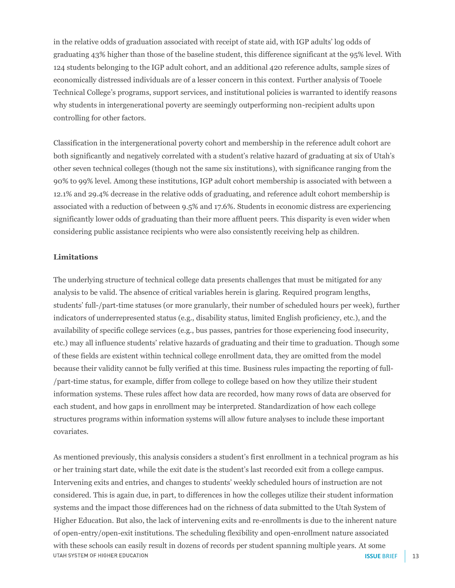in the relative odds of graduation associated with receipt of state aid, with IGP adults' log odds of graduating 43% higher than those of the baseline student, this difference significant at the 95% level. With 124 students belonging to the IGP adult cohort, and an additional 420 reference adults, sample sizes of economically distressed individuals are of a lesser concern in this context. Further analysis of Tooele Technical College's programs, support services, and institutional policies is warranted to identify reasons why students in intergenerational poverty are seemingly outperforming non-recipient adults upon controlling for other factors.

Classification in the intergenerational poverty cohort and membership in the reference adult cohort are both significantly and negatively correlated with a student's relative hazard of graduating at six of Utah's other seven technical colleges (though not the same six institutions), with significance ranging from the 90% to 99% level. Among these institutions, IGP adult cohort membership is associated with between a 12.1% and 29.4% decrease in the relative odds of graduating, and reference adult cohort membership is associated with a reduction of between 9.5% and 17.6%. Students in economic distress are experiencing significantly lower odds of graduating than their more affluent peers. This disparity is even wider when considering public assistance recipients who were also consistently receiving help as children.

## **Limitations**

The underlying structure of technical college data presents challenges that must be mitigated for any analysis to be valid. The absence of critical variables herein is glaring. Required program lengths, students' full-/part-time statuses (or more granularly, their number of scheduled hours per week), further indicators of underrepresented status (e.g., disability status, limited English proficiency, etc.), and the availability of specific college services (e.g., bus passes, pantries for those experiencing food insecurity, etc.) may all influence students' relative hazards of graduating and their time to graduation. Though some of these fields are existent within technical college enrollment data, they are omitted from the model because their validity cannot be fully verified at this time. Business rules impacting the reporting of full- /part-time status, for example, differ from college to college based on how they utilize their student information systems. These rules affect how data are recorded, how many rows of data are observed for each student, and how gaps in enrollment may be interpreted. Standardization of how each college structures programs within information systems will allow future analyses to include these important covariates.

As mentioned previously, this analysis considers a student's first enrollment in a technical program as his or her training start date, while the exit date is the student's last recorded exit from a college campus. Intervening exits and entries, and changes to students' weekly scheduled hours of instruction are not considered. This is again due, in part, to differences in how the colleges utilize their student information systems and the impact those differences had on the richness of data submitted to the Utah System of Higher Education. But also, the lack of intervening exits and re-enrollments is due to the inherent nature of open-entry/open-exit institutions. The scheduling flexibility and open-enrollment nature associated with these schools can easily result in dozens of records per student spanning multiple years. At some UTAH SYSTEM OF HIGHER EDUCATION **ISSUE BRIEF** | 13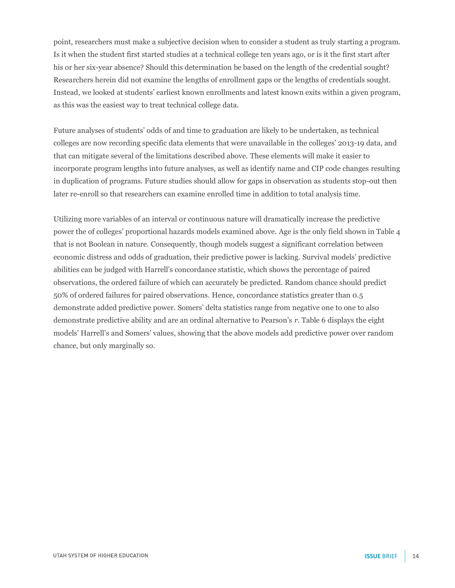point, researchers must make a subjective decision when to consider a student as truly starting a program. Is it when the student first started studies at a technical college ten years ago, or is it the first start after his or her six-year absence? Should this determination be based on the length of the credential sought? Researchers herein did not examine the lengths of enrollment gaps or the lengths of credentials sought. Instead, we looked at students' earliest known enrollments and latest known exits within a given program, as this was the easiest way to treat technical college data.

Future analyses of students' odds of and time to graduation are likely to be undertaken, as technical colleges are now recording specific data elements that were unavailable in the colleges' 2013-19 data, and that can mitigate several of the limitations described above. These elements will make it easier to incorporate program lengths into future analyses, as well as identify name and CIP code changes resulting in duplication of programs. Future studies should allow for gaps in observation as students stop-out then later re-enroll so that researchers can examine enrolled time in addition to total analysis time.

Utilizing more variables of an interval or continuous nature will dramatically increase the predictive power the of colleges' proportional hazards models examined above. Age is the only field shown in Table 4 that is not Boolean in nature. Consequently, though models suggest a significant correlation between economic distress and odds of graduation, their predictive power is lacking. Survival models' predictive abilities can be judged with Harrell's concordance statistic, which shows the percentage of paired observations, the ordered failure of which can accurately be predicted. Random chance should predict 50% of ordered failures for paired observations. Hence, concordance statistics greater than 0.5 demonstrate added predictive power. Somers' delta statistics range from negative one to one to also demonstrate predictive ability and are an ordinal alternative to Pearson's *r*. Table 6 displays the eight models' Harrell's and Somers' values, showing that the above models add predictive power over random chance, but only marginally so.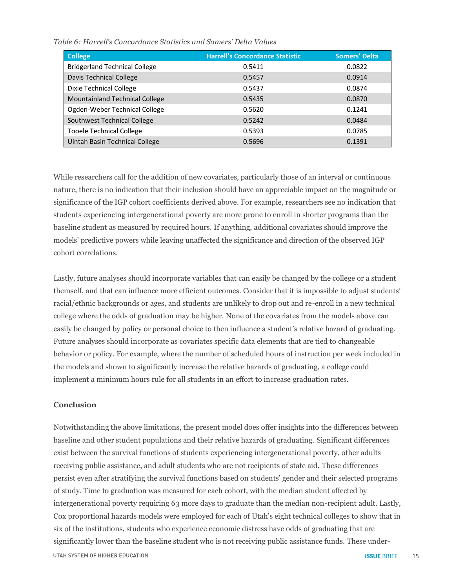| <b>College</b>                        | <b>Harrell's Concordance Statistic</b> | <b>Somers' Delta</b> |
|---------------------------------------|----------------------------------------|----------------------|
| <b>Bridgerland Technical College</b>  | 0.5411                                 | 0.0822               |
| <b>Davis Technical College</b>        | 0.5457                                 | 0.0914               |
| <b>Dixie Technical College</b>        | 0.5437                                 | 0.0874               |
| <b>Mountainland Technical College</b> | 0.5435                                 | 0.0870               |
| Ogden-Weber Technical College         | 0.5620                                 | 0.1241               |
| Southwest Technical College           | 0.5242                                 | 0.0484               |
| <b>Tooele Technical College</b>       | 0.5393                                 | 0.0785               |
| Uintah Basin Technical College        | 0.5696                                 | 0.1391               |

*Table 6: Harrell's Concordance Statistics and Somers' Delta Values*

While researchers call for the addition of new covariates, particularly those of an interval or continuous nature, there is no indication that their inclusion should have an appreciable impact on the magnitude or significance of the IGP cohort coefficients derived above. For example, researchers see no indication that students experiencing intergenerational poverty are more prone to enroll in shorter programs than the baseline student as measured by required hours. If anything, additional covariates should improve the models' predictive powers while leaving unaffected the significance and direction of the observed IGP cohort correlations.

Lastly, future analyses should incorporate variables that can easily be changed by the college or a student themself, and that can influence more efficient outcomes. Consider that it is impossible to adjust students' racial/ethnic backgrounds or ages, and students are unlikely to drop out and re-enroll in a new technical college where the odds of graduation may be higher. None of the covariates from the models above can easily be changed by policy or personal choice to then influence a student's relative hazard of graduating. Future analyses should incorporate as covariates specific data elements that are tied to changeable behavior or policy. For example, where the number of scheduled hours of instruction per week included in the models and shown to significantly increase the relative hazards of graduating, a college could implement a minimum hours rule for all students in an effort to increase graduation rates.

# **Conclusion**

Notwithstanding the above limitations, the present model does offer insights into the differences between baseline and other student populations and their relative hazards of graduating. Significant differences exist between the survival functions of students experiencing intergenerational poverty, other adults receiving public assistance, and adult students who are not recipients of state aid. These differences persist even after stratifying the survival functions based on students' gender and their selected programs of study. Time to graduation was measured for each cohort, with the median student affected by intergenerational poverty requiring 63 more days to graduate than the median non-recipient adult. Lastly, Cox proportional hazards models were employed for each of Utah's eight technical colleges to show that in six of the institutions, students who experience economic distress have odds of graduating that are significantly lower than the baseline student who is not receiving public assistance funds. These under-UTAH SYSTEM OF HIGHER EDUCATION